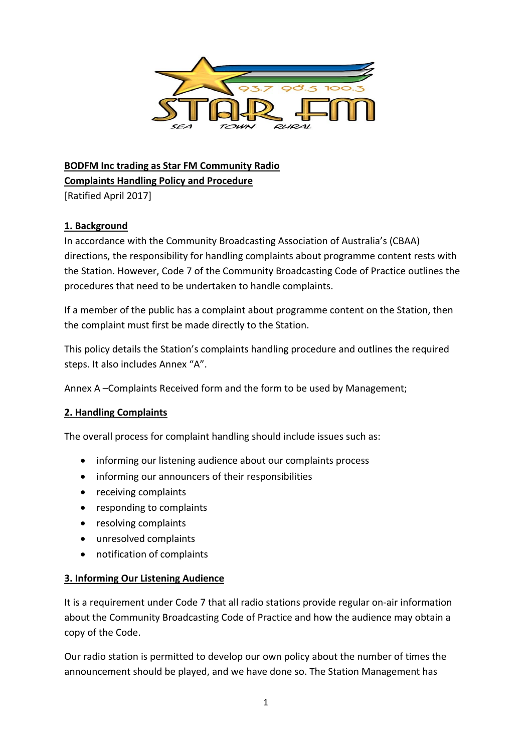

**BODFM Inc trading as Star FM Community Radio Complaints Handling Policy and Procedure** 

[Ratified April 2017]

## **1. Background**

In accordance with the Community Broadcasting Association of Australia's (CBAA) directions, the responsibility for handling complaints about programme content rests with the Station. However, Code 7 of the Community Broadcasting Code of Practice outlines the procedures that need to be undertaken to handle complaints.

If a member of the public has a complaint about programme content on the Station, then the complaint must first be made directly to the Station.

This policy details the Station's complaints handling procedure and outlines the required steps. It also includes Annex "A".

Annex A –Complaints Received form and the form to be used by Management;

### **2. Handling Complaints**

The overall process for complaint handling should include issues such as:

- informing our listening audience about our complaints process
- informing our announcers of their responsibilities
- receiving complaints
- responding to complaints
- resolving complaints
- unresolved complaints
- notification of complaints

### **3. Informing Our Listening Audience**

It is a requirement under Code 7 that all radio stations provide regular on‐air information about the Community Broadcasting Code of Practice and how the audience may obtain a copy of the Code.

Our radio station is permitted to develop our own policy about the number of times the announcement should be played, and we have done so. The Station Management has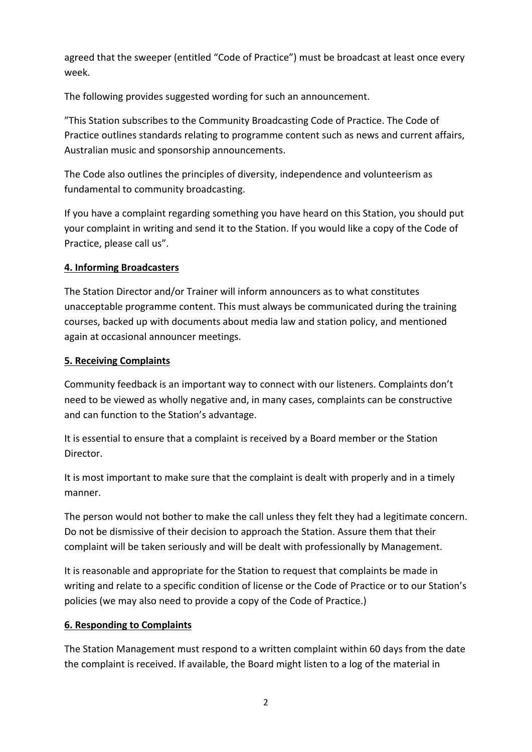agreed that the sweeper (entitled "Code of Practice") must be broadcast at least once every week.

The following provides suggested wording for such an announcement.

"This Station subscribes to the Community Broadcasting Code of Practice. The Code of Practice outlines standards relating to programme content such as news and current affairs, Australian music and sponsorship announcements.

The Code also outlines the principles of diversity, independence and volunteerism as fundamental to community broadcasting.

If you have a complaint regarding something you have heard on this Station, you should put your complaint in writing and send it to the Station. If you would like a copy of the Code of Practice, please call us".

## **4. Informing Broadcasters**

The Station Director and/or Trainer will inform announcers as to what constitutes unacceptable programme content. This must always be communicated during the training courses, backed up with documents about media law and station policy, and mentioned again at occasional announcer meetings.

### **5. Receiving Complaints**

Community feedback is an important way to connect with our listeners. Complaints don't need to be viewed as wholly negative and, in many cases, complaints can be constructive and can function to the Station's advantage.

It is essential to ensure that a complaint is received by a Board member or the Station Director.

It is most important to make sure that the complaint is dealt with properly and in a timely manner.

The person would not bother to make the call unless they felt they had a legitimate concern. Do not be dismissive of their decision to approach the Station. Assure them that their complaint will be taken seriously and will be dealt with professionally by Management.

It is reasonable and appropriate for the Station to request that complaints be made in writing and relate to a specific condition of license or the Code of Practice or to our Station's policies (we may also need to provide a copy of the Code of Practice.)

# **6. Responding to Complaints**

The Station Management must respond to a written complaint within 60 days from the date the complaint is received. If available, the Board might listen to a log of the material in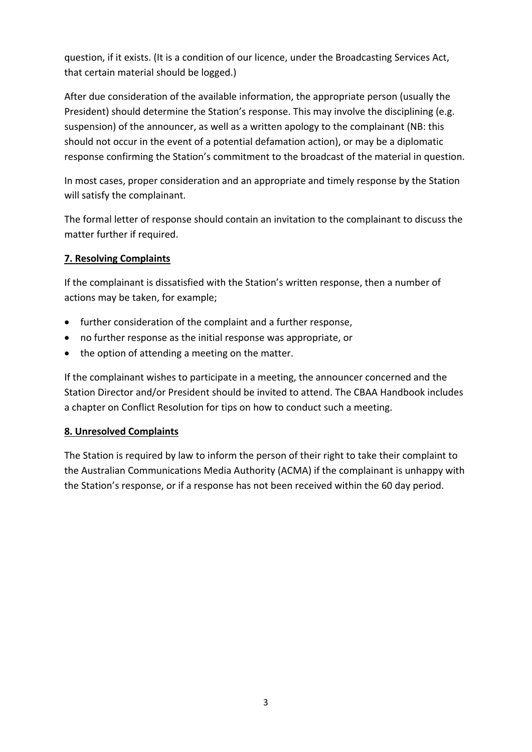question, if it exists. (It is a condition of our licence, under the Broadcasting Services Act, that certain material should be logged.)

After due consideration of the available information, the appropriate person (usually the President) should determine the Station's response. This may involve the disciplining (e.g. suspension) of the announcer, as well as a written apology to the complainant (NB: this should not occur in the event of a potential defamation action), or may be a diplomatic response confirming the Station's commitment to the broadcast of the material in question.

In most cases, proper consideration and an appropriate and timely response by the Station will satisfy the complainant.

The formal letter of response should contain an invitation to the complainant to discuss the matter further if required.

## **7. Resolving Complaints**

If the complainant is dissatisfied with the Station's written response, then a number of actions may be taken, for example;

- further consideration of the complaint and a further response,
- no further response as the initial response was appropriate, or
- the option of attending a meeting on the matter.

If the complainant wishes to participate in a meeting, the announcer concerned and the Station Director and/or President should be invited to attend. The CBAA Handbook includes a chapter on Conflict Resolution for tips on how to conduct such a meeting.

### **8. Unresolved Complaints**

The Station is required by law to inform the person of their right to take their complaint to the Australian Communications Media Authority (ACMA) if the complainant is unhappy with the Station's response, or if a response has not been received within the 60 day period.